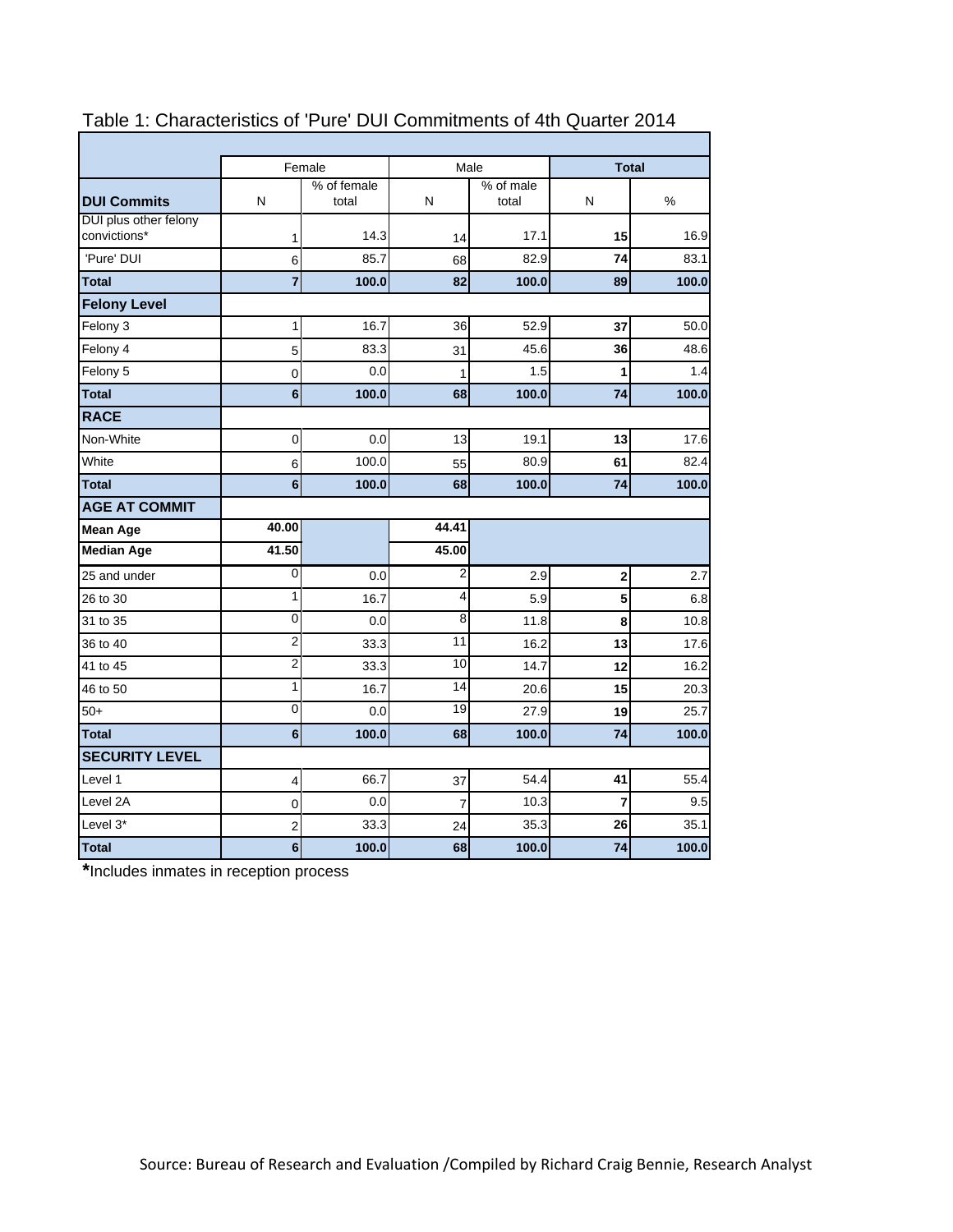|                                       |                         | Female               | Male           |                    | <b>Total</b> |       |  |
|---------------------------------------|-------------------------|----------------------|----------------|--------------------|--------------|-------|--|
| <b>DUI Commits</b>                    | N                       | % of female<br>total | N              | % of male<br>total | N            | %     |  |
| DUI plus other felony<br>convictions* | 1                       | 14.3                 | 14             | 17.1               | 15           | 16.9  |  |
| 'Pure' DUI                            | 6                       | 85.7                 | 68             | 82.9               | 74           | 83.1  |  |
| <b>Total</b>                          | $\overline{7}$          | 100.0                | 82             | 100.0              | 89           | 100.0 |  |
| <b>Felony Level</b>                   |                         |                      |                |                    |              |       |  |
| Felony 3                              | 1                       | 16.7                 | 36             | 52.9               | 37           | 50.0  |  |
| Felony 4                              | 5                       | 83.3                 | 31             | 45.6               | 36           | 48.6  |  |
| Felony 5                              | 0                       | 0.0                  | 1              | 1.5                | 1            | 1.4   |  |
| <b>Total</b>                          | $6\phantom{a}$          | 100.0                | 68             | 100.0              | 74           | 100.0 |  |
| <b>RACE</b>                           |                         |                      |                |                    |              |       |  |
| Non-White                             | $\mathbf 0$             | 0.0                  | 13             | 19.1               | 13           | 17.6  |  |
| White                                 | 6                       | 100.0                | 55             | 80.9               | 61           | 82.4  |  |
| <b>Total</b>                          | 6                       | 100.0                | 68             | 100.0              | 74           | 100.0 |  |
| <b>AGE AT COMMIT</b>                  |                         |                      |                |                    |              |       |  |
| <b>Mean Age</b>                       | 40.00                   |                      | 44.41          |                    |              |       |  |
| <b>Median Age</b>                     | 41.50                   |                      | 45.00          |                    |              |       |  |
| 25 and under                          | 0                       | 0.0                  | $\overline{2}$ | 2.9                | 2            | 2.7   |  |
| 26 to 30                              | 1                       | 16.7                 | 4              | 5.9                | 5            | 6.8   |  |
| 31 to 35                              | 0                       | 0.0                  | 8              | 11.8               | 8            | 10.8  |  |
| 36 to 40                              | $\overline{2}$          | 33.3                 | 11             | 16.2               | 13           | 17.6  |  |
| 41 to 45                              | $\overline{2}$          | 33.3                 | 10             | 14.7               | 12           | 16.2  |  |
| 46 to 50                              | 1                       | 16.7                 | 14             | 20.6               | 15           | 20.3  |  |
| $50+$                                 | $\mathbf 0$             | 0.0                  | 19             | 27.9               | 19           | 25.7  |  |
| <b>Total</b>                          | 6                       | 100.0                | 68             | 100.0              | 74           | 100.0 |  |
| <b>SECURITY LEVEL</b>                 |                         |                      |                |                    |              |       |  |
| Level 1                               | 4                       | 66.7                 | 37             | 54.4               | 41           | 55.4  |  |
| Level 2A                              | 0                       | 0.0                  | 7              | 10.3               | 7            | 9.5   |  |
| Level 3*                              | $\overline{\mathbf{c}}$ | 33.3                 | 24             | 35.3               | 26           | 35.1  |  |
| <b>Total</b>                          | 6                       | 100.0                | 68             | 100.0              | 74           | 100.0 |  |

## Table 1: Characteristics of 'Pure' DUI Commitments of 4th Quarter 2014

**\***Includes inmates in reception process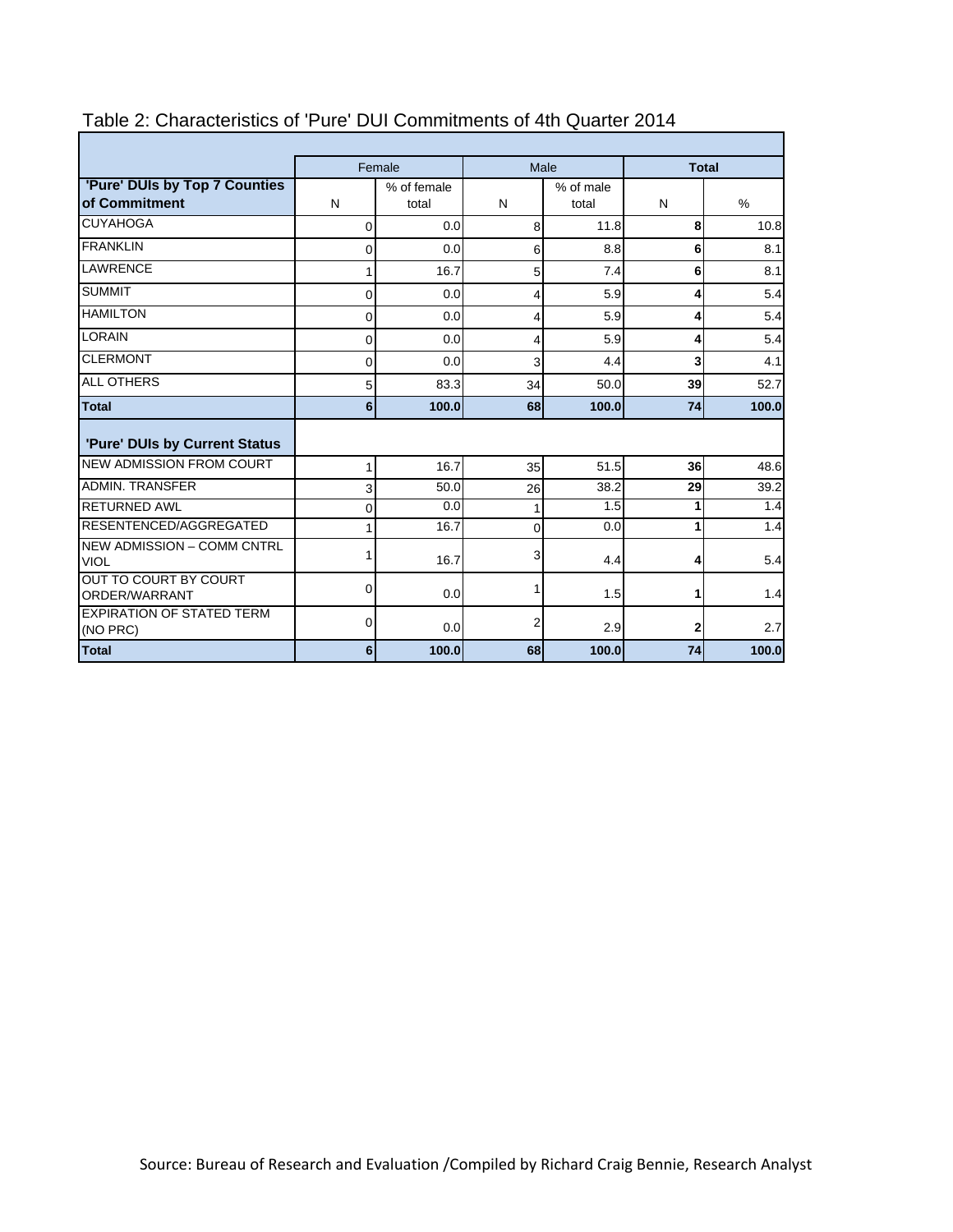|                                                | Female         |                      |          | Male               | <b>Total</b> |       |
|------------------------------------------------|----------------|----------------------|----------|--------------------|--------------|-------|
| 'Pure' DUIs by Top 7 Counties<br>of Commitment | N              | % of female<br>total | N        | % of male<br>total | N            | $\%$  |
| <b>CUYAHOGA</b>                                | $\Omega$       | 0.0                  | 8        | 11.8               | 8            | 10.8  |
| <b>FRANKLIN</b>                                | 0              | 0.0                  | 6        | 8.8                | 6            | 8.1   |
| <b>LAWRENCE</b>                                |                | 16.7                 | 5        | 7.4                | 6            | 8.1   |
| <b>SUMMIT</b>                                  | $\Omega$       | 0.0                  | 4        | 5.9                | 4            | 5.4   |
| <b>HAMILTON</b>                                | 0              | 0.0                  | 4        | 5.9                | 4            | 5.4   |
| <b>LORAIN</b>                                  | 0              | 0.0                  | 4        | 5.9                | 4            | 5.4   |
| <b>CLERMONT</b>                                | $\mathbf{0}$   | 0.0                  | 3        | 4.4                | 3            | 4.1   |
| <b>ALL OTHERS</b>                              | 5              | 83.3                 | 34       | 50.0               | 39           | 52.7  |
| <b>Total</b>                                   | 6 <sup>1</sup> | 100.0                | 68       | 100.0              | 74           | 100.0 |
| 'Pure' DUIs by Current Status                  |                |                      |          |                    |              |       |
| <b>NEW ADMISSION FROM COURT</b>                | 1              | 16.7                 | 35       | 51.5               | 36           | 48.6  |
| <b>ADMIN. TRANSFER</b>                         | 3              | 50.0                 | 26       | 38.2               | 29           | 39.2  |
| <b>RETURNED AWL</b>                            | 0              | 0.0                  | 1        | 1.5                | 1            | 1.4   |
| RESENTENCED/AGGREGATED                         |                | 16.7                 | $\Omega$ | 0.0                | 1            | 1.4   |
| NEW ADMISSION - COMM CNTRL<br><b>VIOL</b>      |                | 16.7                 | 3        | 4.4                | 4            | 5.4   |
| OUT TO COURT BY COURT<br>ORDER/WARRANT         | 0              | 0.0                  | 1        | 1.5                | 1            | 1.4   |
| <b>EXPIRATION OF STATED TERM</b><br>(NO PRC)   | 0              | 0.0                  | 2        | 2.9                | $\mathbf{2}$ | 2.7   |
| <b>Total</b>                                   | 6              | 100.0                | 68       | 100.0              | 74           | 100.0 |

## Table 2: Characteristics of 'Pure' DUI Commitments of 4th Quarter 2014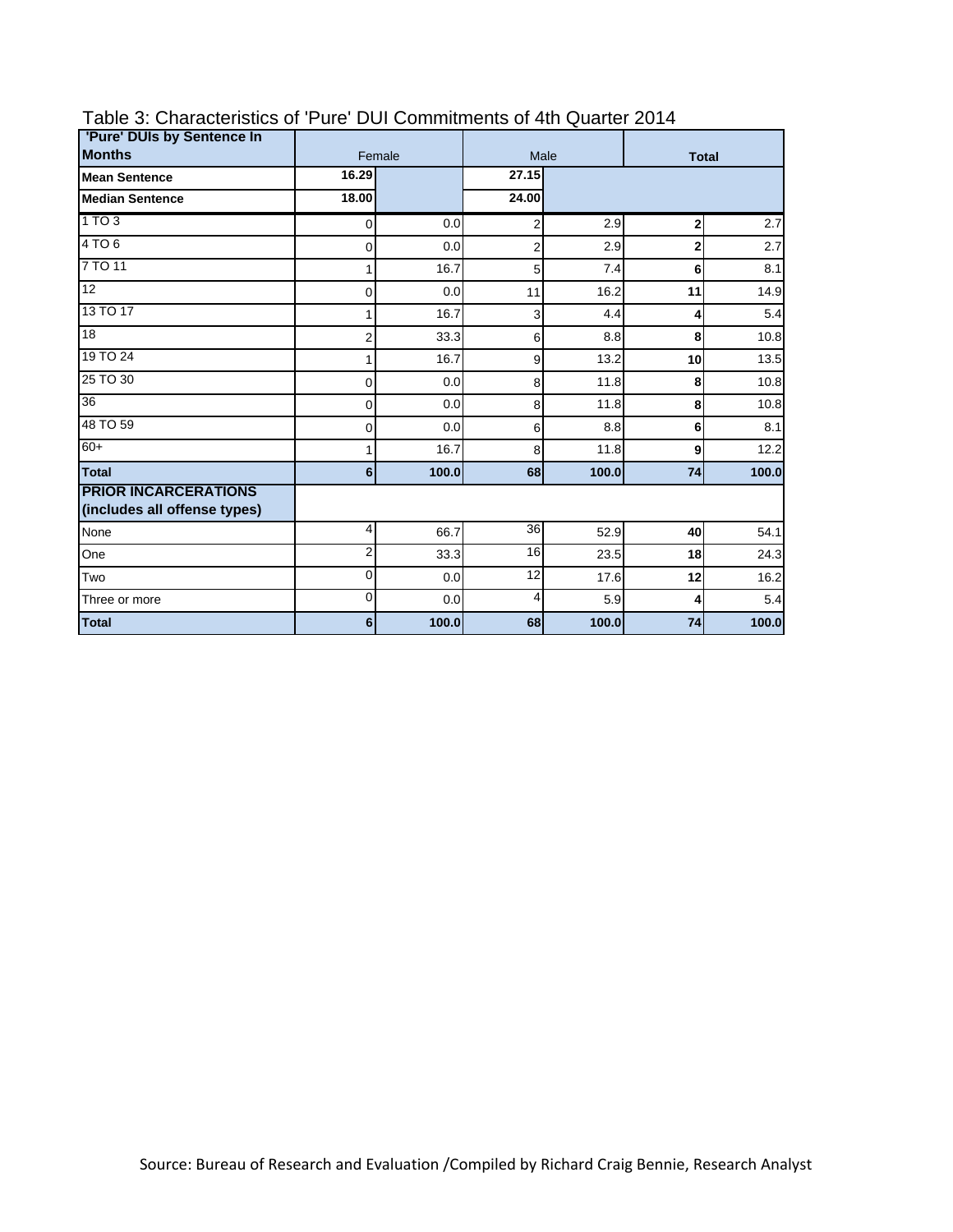| 'Pure' DUIs by Sentence In                                  |                |        |                |       |                |       |
|-------------------------------------------------------------|----------------|--------|----------------|-------|----------------|-------|
| <b>Months</b>                                               |                | Female |                | Male  | <b>Total</b>   |       |
| <b>Mean Sentence</b>                                        | 16.29          |        | 27.15          |       |                |       |
| <b>Median Sentence</b>                                      | 18.00          |        | 24.00          |       |                |       |
| 1 TO 3                                                      | $\mathbf 0$    | 0.0    | 2              | 2.9   | 2              | 2.7   |
| 4TO6                                                        | 0              | 0.0    | $\overline{2}$ | 2.9   | $\overline{2}$ | 2.7   |
| 7 TO 11                                                     |                | 16.7   | 5              | 7.4   | 6              | 8.1   |
| 12                                                          | 0              | 0.0    | 11             | 16.2  | 11             | 14.9  |
| 13 TO 17                                                    |                | 16.7   | 3              | 4.4   | 4              | 5.4   |
| 18                                                          | 2              | 33.3   | 6              | 8.8   | 8              | 10.8  |
| 19 TO 24                                                    |                | 16.7   | 9              | 13.2  | 10             | 13.5  |
| 25 TO 30                                                    | 0              | 0.0    | 8              | 11.8  | 8              | 10.8  |
| 36                                                          | 0              | 0.0    | 8              | 11.8  | 8              | 10.8  |
| 48 TO 59                                                    | 0              | 0.0    | 6              | 8.8   | 6              | 8.1   |
| $60+$                                                       |                | 16.7   | 8              | 11.8  | 9              | 12.2  |
| <b>Total</b>                                                | 6              | 100.0  | 68             | 100.0 | 74             | 100.0 |
| <b>PRIOR INCARCERATIONS</b><br>(includes all offense types) |                |        |                |       |                |       |
| None                                                        | 4              | 66.7   | 36             | 52.9  | 40             | 54.1  |
| One                                                         | $\overline{2}$ | 33.3   | 16             | 23.5  | 18             | 24.3  |
| Two                                                         | 0              | 0.0    | 12             | 17.6  | 12             | 16.2  |
| Three or more                                               | $\mathbf 0$    | 0.0    | 4              | 5.9   | 4              | 5.4   |
| <b>Total</b>                                                | $6 \,$         | 100.0  | 68             | 100.0 | 74             | 100.0 |

# Table 3: Characteristics of 'Pure' DUI Commitments of 4th Quarter 2014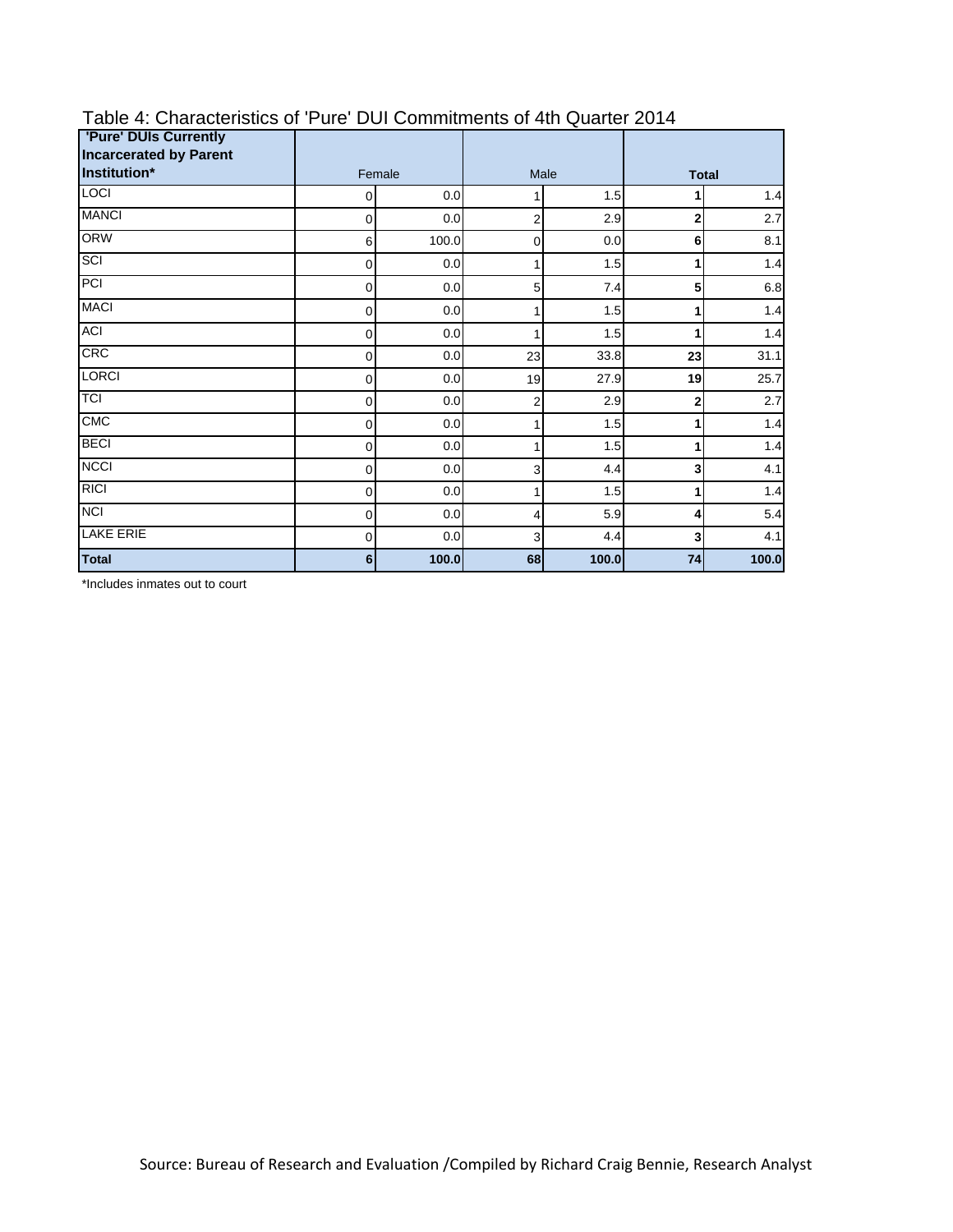| <b>'Pure' DUIs Currently</b>                  |             |       |    |       |                |         |
|-----------------------------------------------|-------------|-------|----|-------|----------------|---------|
| <b>Incarcerated by Parent</b><br>Institution* | Female      |       |    | Male  | <b>Total</b>   |         |
| <b>LOCI</b>                                   | 0           | 0.0   | 1  | 1.5   |                | 1.4     |
| <b>MANCI</b>                                  | $\mathbf 0$ | 0.0   | 2  | 2.9   | 2              | 2.7     |
| <b>ORW</b>                                    | 6           | 100.0 | 0  | 0.0   | 6              | 8.1     |
| SCI                                           | 0           | 0.0   | 1  | 1.5   | 1              | 1.4     |
| PCI                                           | 0           | 0.0   | 5  | 7.4   | 5              | $6.8\,$ |
| <b>MACI</b>                                   | 0           | 0.0   | 1  | 1.5   | 1              | 1.4     |
| <b>ACI</b>                                    | $\mathbf 0$ | 0.0   | 1  | 1.5   | 1              | 1.4     |
| <b>CRC</b>                                    | 0           | 0.0   | 23 | 33.8  | 23             | 31.1    |
| <b>LORCI</b>                                  | $\mathbf 0$ | 0.0   | 19 | 27.9  | 19             | 25.7    |
| TCI                                           | $\mathbf 0$ | 0.0   | 2  | 2.9   | $\overline{2}$ | 2.7     |
| CMC                                           | 0           | 0.0   | 1  | 1.5   | 1              | 1.4     |
| <b>BECI</b>                                   | 0           | 0.0   | 1  | 1.5   |                | 1.4     |
| <b>NCCI</b>                                   | 0           | 0.0   | 3  | 4.4   | 3              | 4.1     |
| <b>RICI</b>                                   | 0           | 0.0   | 1  | 1.5   | 1              | 1.4     |
| <b>NCI</b>                                    | $\mathbf 0$ | 0.0   | 4  | 5.9   | 4              | 5.4     |
| <b>LAKE ERIE</b>                              | $\mathbf 0$ | 0.0   | 3  | 4.4   | 3              | 4.1     |
| <b>Total</b>                                  | 6           | 100.0 | 68 | 100.0 | 74             | 100.0   |

## Table 4: Characteristics of 'Pure' DUI Commitments of 4th Quarter 2014

\*Includes inmates out to court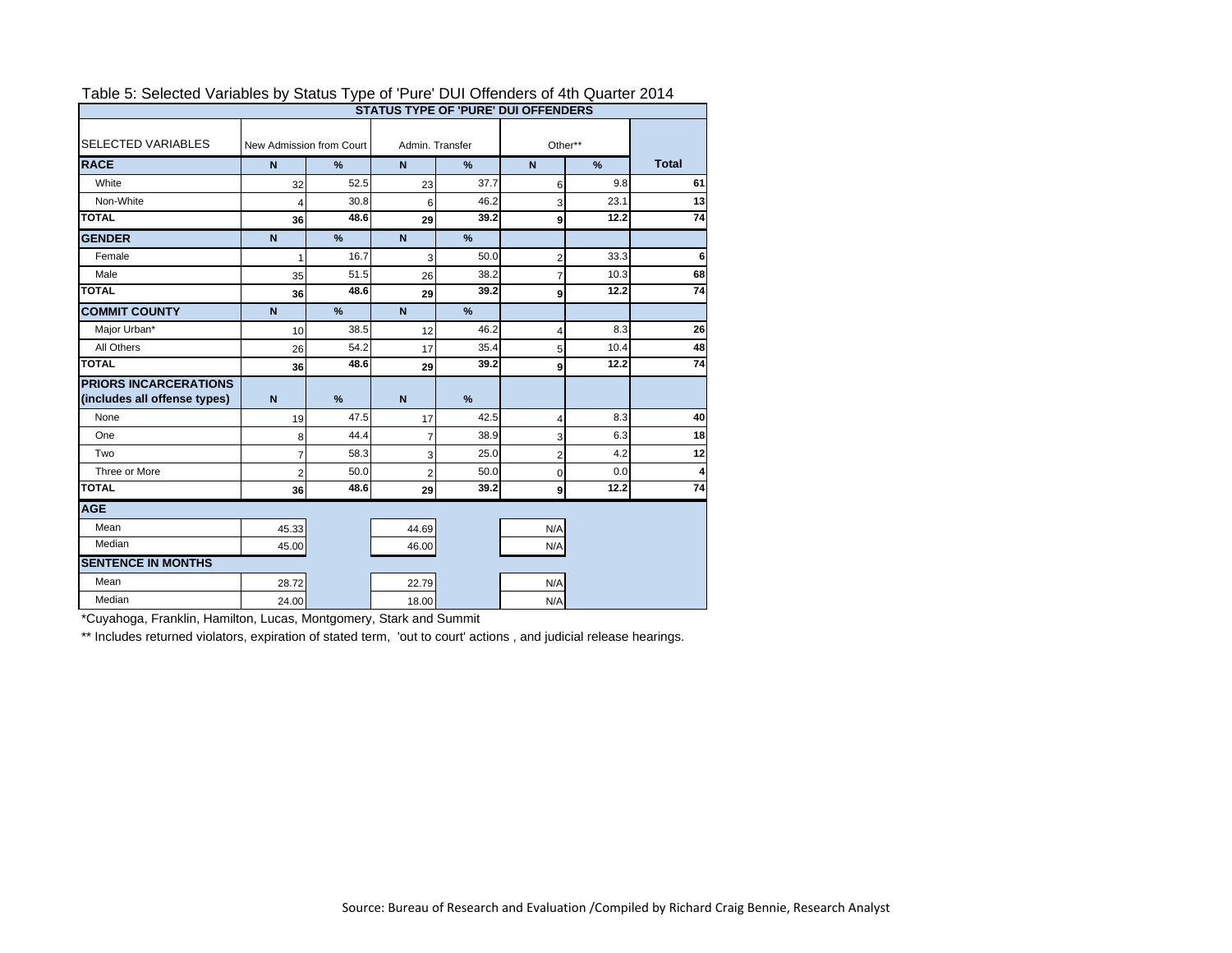| rabic of ociocide variables by oldids Type or Tare Dor Olichders or Hill Quarter Z014<br><b>STATUS TYPE OF 'PURE' DUI OFFENDERS</b> |                          |               |                 |               |                |               |              |  |  |
|-------------------------------------------------------------------------------------------------------------------------------------|--------------------------|---------------|-----------------|---------------|----------------|---------------|--------------|--|--|
| <b>SELECTED VARIABLES</b>                                                                                                           | New Admission from Court |               | Admin, Transfer |               | Other**        |               |              |  |  |
| <b>RACE</b>                                                                                                                         | $\mathsf{N}$             | %             | $\mathsf{N}$    | $\frac{9}{6}$ | $\mathbf N$    | $\frac{9}{6}$ | <b>Total</b> |  |  |
| White                                                                                                                               | 32                       | 52.5          | 23              | 37.7          | 6              | 9.8           | 61           |  |  |
| Non-White                                                                                                                           |                          | 30.8          | 6               | 46.2          | 3              | 23.1          | 13           |  |  |
| <b>TOTAL</b>                                                                                                                        | 36                       | 48.6          | 29              | 39.2          | 9              | 12.2          | 74           |  |  |
| <b>GENDER</b>                                                                                                                       | $\overline{N}$           | %             | $\overline{N}$  | %             |                |               |              |  |  |
| Female                                                                                                                              |                          | 16.7          | 3               | 50.0          | $\overline{2}$ | 33.3          | 6            |  |  |
| Male                                                                                                                                | 35                       | 51.5          | 26              | 38.2          | $\overline{7}$ | 10.3          | 68           |  |  |
| <b>TOTAL</b>                                                                                                                        | 36                       | 48.6          | 29              | 39.2          | 9              | 12.2          | 74           |  |  |
| <b>COMMIT COUNTY</b>                                                                                                                | $\mathbf N$              | %             | N               | %             |                |               |              |  |  |
| Major Urban*                                                                                                                        | 10                       | 38.5          | 12              | 46.2          | 4              | 8.3           | 26           |  |  |
| All Others                                                                                                                          | 26                       | 54.2          | 17              | 35.4          | 5              | 10.4          | 48           |  |  |
| <b>TOTAL</b>                                                                                                                        | 36                       | 48.6          | 29              | 39.2          | 9              | 12.2          | 74           |  |  |
| <b>PRIORS INCARCERATIONS</b>                                                                                                        |                          |               |                 |               |                |               |              |  |  |
| (includes all offense types)                                                                                                        | $\mathbf N$              | $\frac{9}{6}$ | $\mathsf{N}$    | $\frac{9}{6}$ |                |               |              |  |  |
| None                                                                                                                                | 19                       | 47.5          | 17              | 42.5          | 4              | 8.3           | 40           |  |  |
| One                                                                                                                                 | 8                        | 44.4          | 7               | 38.9          | 3              | 6.3           | 18           |  |  |
| Two                                                                                                                                 | 7                        | 58.3          | 3               | 25.0          | $\overline{2}$ | 4.2           | 12           |  |  |
| Three or More                                                                                                                       | $\overline{2}$           | 50.0          | 2               | 50.0          | $\mathbf 0$    | 0.0           |              |  |  |
| <b>TOTAL</b>                                                                                                                        | 36                       | 48.6          | 29              | 39.2          | 9              | 12.2          | 74           |  |  |
| <b>AGE</b>                                                                                                                          |                          |               |                 |               |                |               |              |  |  |
| Mean                                                                                                                                | 45.33                    |               | 44.69           |               | N/A            |               |              |  |  |
| Median                                                                                                                              | 45.00                    |               | 46.00           |               | N/A            |               |              |  |  |
| <b>SENTENCE IN MONTHS</b>                                                                                                           |                          |               |                 |               |                |               |              |  |  |
| Mean                                                                                                                                | 28.72                    |               | 22.79           |               | N/A            |               |              |  |  |
| Median                                                                                                                              | 24.00                    |               | 18.00           |               | N/A            |               |              |  |  |

#### Table 5: Selected Variables by Status Type of 'Pure' DUI Offenders of 4th Quarter 2014

\*Cuyahoga, Franklin, Hamilton, Lucas, Montgomery, Stark and Summit

\*\* Includes returned violators, expiration of stated term, 'out to court' actions, and judicial release hearings.